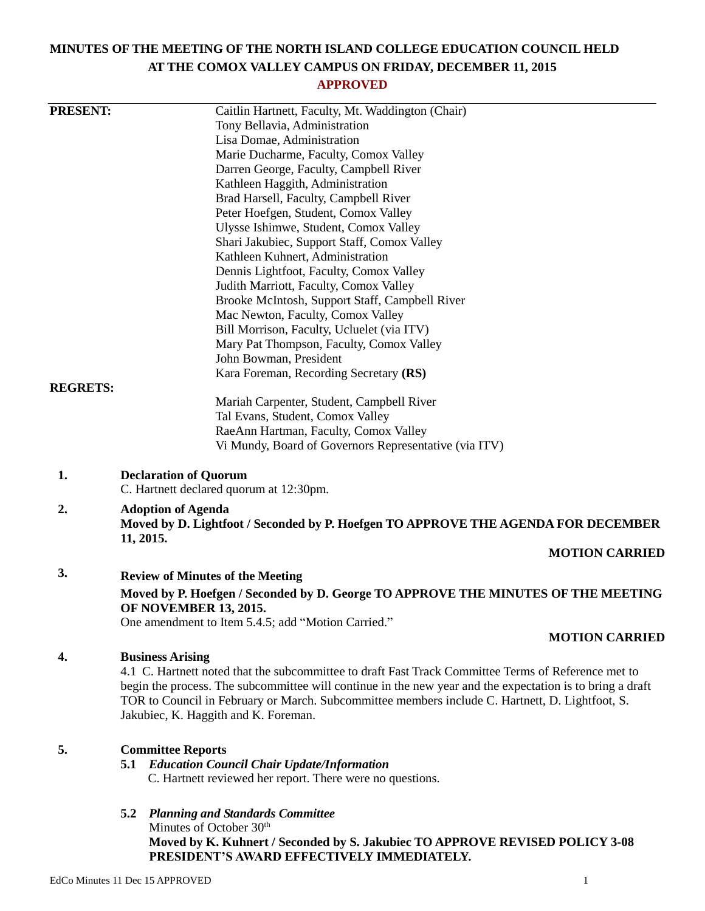# **MINUTES OF THE MEETING OF THE NORTH ISLAND COLLEGE EDUCATION COUNCIL HELD AT THE COMOX VALLEY CAMPUS ON FRIDAY, DECEMBER 11, 2015**

# **APPROVED**

| <b>PRESENT:</b> | Caitlin Hartnett, Faculty, Mt. Waddington (Chair)                                                                           |
|-----------------|-----------------------------------------------------------------------------------------------------------------------------|
|                 | Tony Bellavia, Administration                                                                                               |
|                 | Lisa Domae, Administration                                                                                                  |
|                 | Marie Ducharme, Faculty, Comox Valley                                                                                       |
|                 | Darren George, Faculty, Campbell River                                                                                      |
|                 | Kathleen Haggith, Administration                                                                                            |
|                 | Brad Harsell, Faculty, Campbell River                                                                                       |
|                 | Peter Hoefgen, Student, Comox Valley                                                                                        |
|                 | Ulysse Ishimwe, Student, Comox Valley                                                                                       |
|                 | Shari Jakubiec, Support Staff, Comox Valley                                                                                 |
|                 | Kathleen Kuhnert, Administration                                                                                            |
|                 | Dennis Lightfoot, Faculty, Comox Valley                                                                                     |
|                 | Judith Marriott, Faculty, Comox Valley                                                                                      |
|                 | Brooke McIntosh, Support Staff, Campbell River                                                                              |
|                 | Mac Newton, Faculty, Comox Valley                                                                                           |
|                 | Bill Morrison, Faculty, Ucluelet (via ITV)                                                                                  |
|                 | Mary Pat Thompson, Faculty, Comox Valley                                                                                    |
|                 | John Bowman, President                                                                                                      |
| <b>REGRETS:</b> | Kara Foreman, Recording Secretary (RS)                                                                                      |
|                 | Mariah Carpenter, Student, Campbell River                                                                                   |
|                 | Tal Evans, Student, Comox Valley                                                                                            |
|                 | RaeAnn Hartman, Faculty, Comox Valley                                                                                       |
|                 | Vi Mundy, Board of Governors Representative (via ITV)                                                                       |
|                 |                                                                                                                             |
| 1.              | <b>Declaration of Quorum</b><br>C. Hartnett declared quorum at 12:30pm.                                                     |
| 2.              | <b>Adoption of Agenda</b><br>Moved by D. Lightfoot / Seconded by P. Hoefgen TO APPROVE THE AGENDA FOR DECEMBER<br>11, 2015. |
|                 | <b>MOTION CARRIED</b>                                                                                                       |
| 3.              | <b>Review of Minutes of the Meeting</b>                                                                                     |
|                 | Moved by P. Hoefgen / Seconded by D. George TO APPROVE THE MINUTES OF THE MEETING<br><b>OF NOVEMBER 13, 2015.</b>           |
|                 | One amendment to Item 5.4.5; add "Motion Carried."                                                                          |
|                 | <b>MOTION CARRIED</b>                                                                                                       |
| 4.              | <b>Business Arising</b>                                                                                                     |
|                 | 4.1 C. Hartnett noted that the subcommittee to draft Fast Track Committee Terms of Reference met to                         |
|                 | begin the process. The subcommittee will continue in the new year and the expectation is to bring a draft                   |
|                 | TOR to Council in February or March. Subcommittee members include C. Hartnett, D. Lightfoot, S.                             |
|                 | Jakubiec, K. Haggith and K. Foreman.                                                                                        |
| 5.              |                                                                                                                             |
|                 | <b>Committee Reports</b><br><b>5.1 Education Council Chair Update/Information</b>                                           |
|                 | C. Hartnett reviewed her report. There were no questions.                                                                   |
|                 |                                                                                                                             |
|                 | 5.2<br><b>Planning and Standards Committee</b>                                                                              |
|                 | Minutes of October 30th                                                                                                     |
|                 | Moved by K. Kuhnert / Seconded by S. Jakubiec TO APPROVE REVISED POLICY 3-08                                                |
|                 | PRESIDENT'S AWARD EFFECTIVELY IMMEDIATELY.                                                                                  |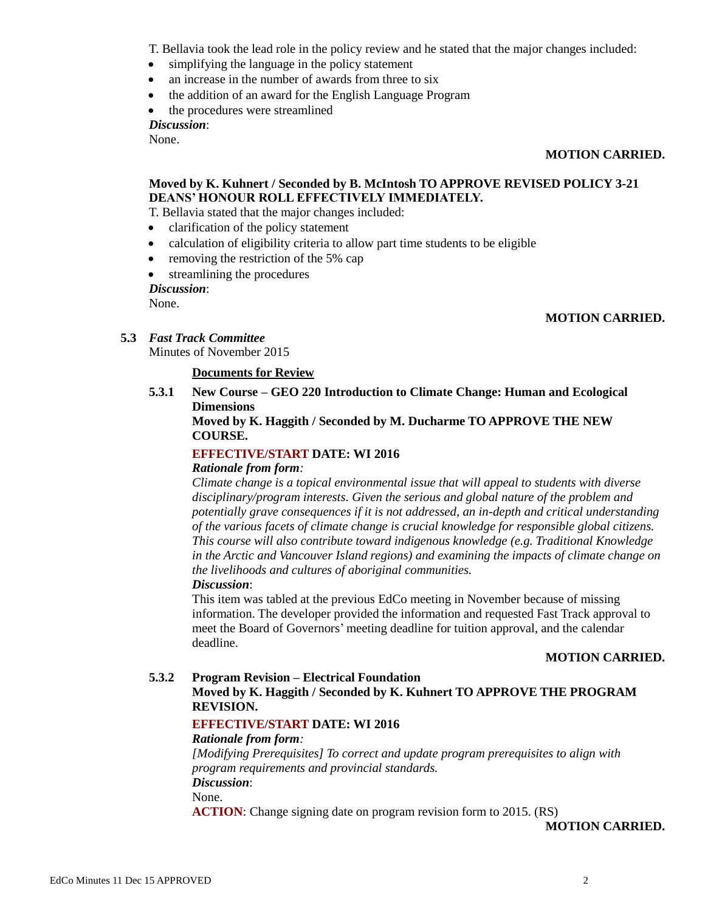T. Bellavia took the lead role in the policy review and he stated that the major changes included:

- simplifying the language in the policy statement
- an increase in the number of awards from three to six
- the addition of an award for the English Language Program
- the procedures were streamlined

*Discussion*:

None.

## **MOTION CARRIED.**

# **Moved by K. Kuhnert / Seconded by B. McIntosh TO APPROVE REVISED POLICY 3-21 DEANS' HONOUR ROLL EFFECTIVELY IMMEDIATELY.**

T. Bellavia stated that the major changes included:

- clarification of the policy statement
- calculation of eligibility criteria to allow part time students to be eligible
- removing the restriction of the 5% cap
- streamlining the procedures

*Discussion*:

None.

# **MOTION CARRIED.**

# **5.3** *Fast Track Committee*

Minutes of November 2015

# **Documents for Review**

**5.3.1 New Course – GEO 220 Introduction to Climate Change: Human and Ecological Dimensions**

# **Moved by K. Haggith / Seconded by M. Ducharme TO APPROVE THE NEW COURSE.**

# **EFFECTIVE/START DATE: WI 2016**

#### *Rationale from form:*

*Climate change is a topical environmental issue that will appeal to students with diverse disciplinary/program interests. Given the serious and global nature of the problem and potentially grave consequences if it is not addressed, an in-depth and critical understanding of the various facets of climate change is crucial knowledge for responsible global citizens. This course will also contribute toward indigenous knowledge (e.g. Traditional Knowledge in the Arctic and Vancouver Island regions) and examining the impacts of climate change on the livelihoods and cultures of aboriginal communities. Discussion*:

This item was tabled at the previous EdCo meeting in November because of missing information. The developer provided the information and requested Fast Track approval to meet the Board of Governors' meeting deadline for tuition approval, and the calendar deadline.

# **MOTION CARRIED.**

#### **5.3.2 Program Revision – Electrical Foundation Moved by K. Haggith / Seconded by K. Kuhnert TO APPROVE THE PROGRAM REVISION.**

# **EFFECTIVE/START DATE: WI 2016**

# *Rationale from form:*

*[Modifying Prerequisites] To correct and update program prerequisites to align with program requirements and provincial standards. Discussion*:

None.

**ACTION**: Change signing date on program revision form to 2015. (RS)

**MOTION CARRIED.**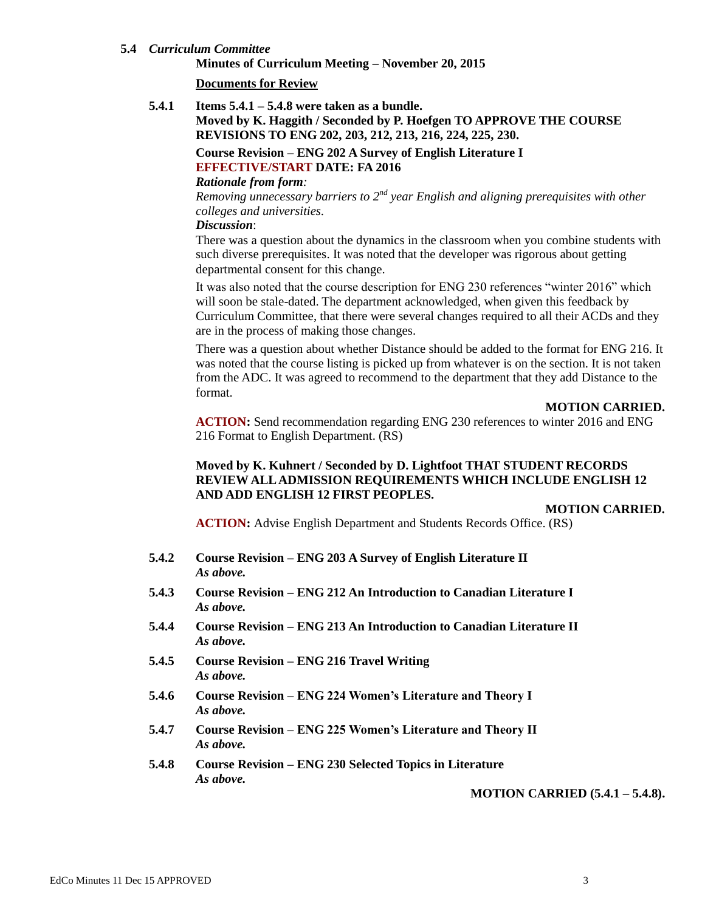#### **5.4** *Curriculum Committee*

**Minutes of Curriculum Meeting – November 20, 2015**

#### **Documents for Review**

**5.4.1 Items 5.4.1 – 5.4.8 were taken as a bundle.**

**Moved by K. Haggith / Seconded by P. Hoefgen TO APPROVE THE COURSE REVISIONS TO ENG 202, 203, 212, 213, 216, 224, 225, 230.**

**Course Revision – ENG 202 A Survey of English Literature I EFFECTIVE/START DATE: FA 2016**

# *Rationale from form:*

*Removing unnecessary barriers to 2nd year English and aligning prerequisites with other colleges and universities.*

#### *Discussion*:

There was a question about the dynamics in the classroom when you combine students with such diverse prerequisites. It was noted that the developer was rigorous about getting departmental consent for this change.

It was also noted that the course description for ENG 230 references "winter 2016" which will soon be stale-dated. The department acknowledged, when given this feedback by Curriculum Committee, that there were several changes required to all their ACDs and they are in the process of making those changes.

There was a question about whether Distance should be added to the format for ENG 216. It was noted that the course listing is picked up from whatever is on the section. It is not taken from the ADC. It was agreed to recommend to the department that they add Distance to the format.

#### **MOTION CARRIED.**

**ACTION:** Send recommendation regarding ENG 230 references to winter 2016 and ENG 216 Format to English Department. (RS)

# **Moved by K. Kuhnert / Seconded by D. Lightfoot THAT STUDENT RECORDS REVIEW ALL ADMISSION REQUIREMENTS WHICH INCLUDE ENGLISH 12 AND ADD ENGLISH 12 FIRST PEOPLES.**

#### **MOTION CARRIED.**

**ACTION:** Advise English Department and Students Records Office. (RS)

- **5.4.2 Course Revision – ENG 203 A Survey of English Literature II** *As above.*
- **5.4.3 Course Revision – ENG 212 An Introduction to Canadian Literature I** *As above.*
- **5.4.4 Course Revision – ENG 213 An Introduction to Canadian Literature II** *As above.*
- **5.4.5 Course Revision – ENG 216 Travel Writing** *As above.*
- **5.4.6 Course Revision – ENG 224 Women's Literature and Theory I** *As above.*
- **5.4.7 Course Revision – ENG 225 Women's Literature and Theory II** *As above.*
- **5.4.8 Course Revision – ENG 230 Selected Topics in Literature** *As above.*

#### **MOTION CARRIED (5.4.1 – 5.4.8).**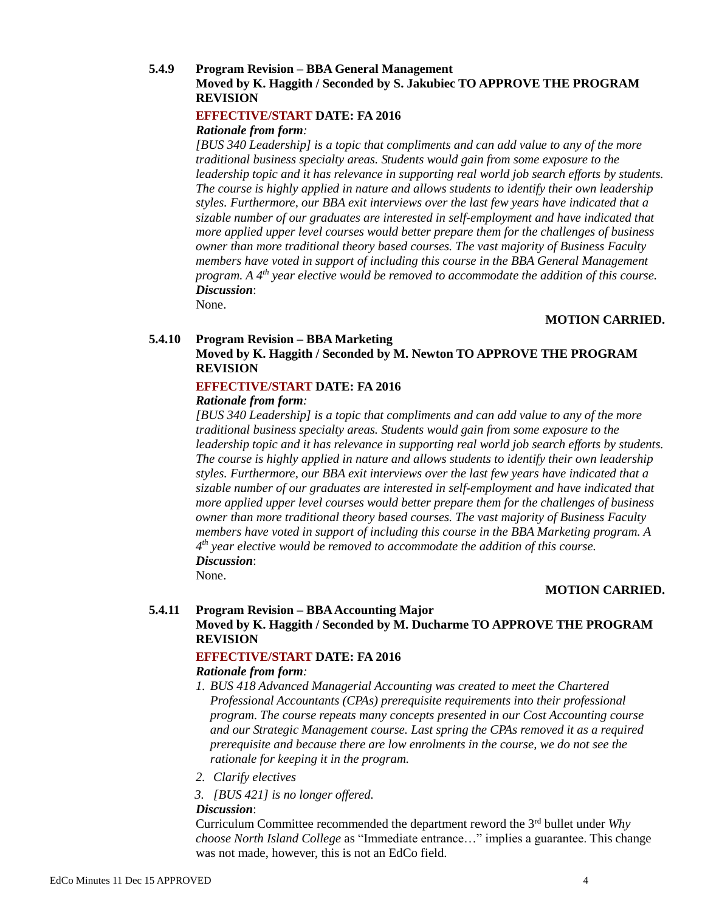# **5.4.9 Program Revision – BBA General Management Moved by K. Haggith / Seconded by S. Jakubiec TO APPROVE THE PROGRAM REVISION**

## **EFFECTIVE/START DATE: FA 2016**

#### *Rationale from form:*

*[BUS 340 Leadership] is a topic that compliments and can add value to any of the more traditional business specialty areas. Students would gain from some exposure to the leadership topic and it has relevance in supporting real world job search efforts by students. The course is highly applied in nature and allows students to identify their own leadership styles. Furthermore, our BBA exit interviews over the last few years have indicated that a sizable number of our graduates are interested in self-employment and have indicated that more applied upper level courses would better prepare them for the challenges of business owner than more traditional theory based courses. The vast majority of Business Faculty members have voted in support of including this course in the BBA General Management program. A 4th year elective would be removed to accommodate the addition of this course. Discussion*:

None.

#### **MOTION CARRIED.**

# **5.4.10 Program Revision – BBA Marketing Moved by K. Haggith / Seconded by M. Newton TO APPROVE THE PROGRAM REVISION**

# **EFFECTIVE/START DATE: FA 2016**

## *Rationale from form:*

*[BUS 340 Leadership] is a topic that compliments and can add value to any of the more traditional business specialty areas. Students would gain from some exposure to the leadership topic and it has relevance in supporting real world job search efforts by students. The course is highly applied in nature and allows students to identify their own leadership styles. Furthermore, our BBA exit interviews over the last few years have indicated that a sizable number of our graduates are interested in self-employment and have indicated that more applied upper level courses would better prepare them for the challenges of business owner than more traditional theory based courses. The vast majority of Business Faculty members have voted in support of including this course in the BBA Marketing program. A 4 th year elective would be removed to accommodate the addition of this course. Discussion*:

None.

# **MOTION CARRIED.**

#### **5.4.11 Program Revision – BBA Accounting Major**

# **Moved by K. Haggith / Seconded by M. Ducharme TO APPROVE THE PROGRAM REVISION**

# **EFFECTIVE/START DATE: FA 2016**

#### *Rationale from form:*

- *1. BUS 418 Advanced Managerial Accounting was created to meet the Chartered Professional Accountants (CPAs) prerequisite requirements into their professional program. The course repeats many concepts presented in our Cost Accounting course and our Strategic Management course. Last spring the CPAs removed it as a required prerequisite and because there are low enrolments in the course, we do not see the rationale for keeping it in the program.*
- *2. Clarify electives*
- *3. [BUS 421] is no longer offered.*

#### *Discussion*:

Curriculum Committee recommended the department reword the 3 rd bullet under *Why choose North Island College* as "Immediate entrance…" implies a guarantee. This change was not made, however, this is not an EdCo field.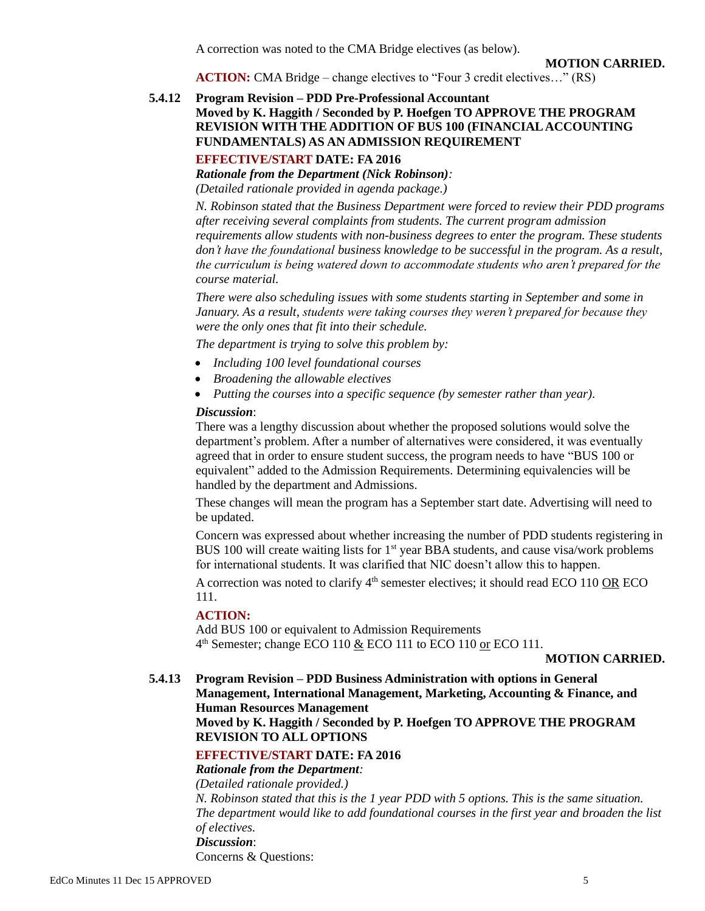A correction was noted to the CMA Bridge electives (as below).

**MOTION CARRIED.**

**ACTION:** CMA Bridge – change electives to "Four 3 credit electives..." (RS)

# **5.4.12 Program Revision – PDD Pre-Professional Accountant**

# **Moved by K. Haggith / Seconded by P. Hoefgen TO APPROVE THE PROGRAM REVISION WITH THE ADDITION OF BUS 100 (FINANCIAL ACCOUNTING FUNDAMENTALS) AS AN ADMISSION REQUIREMENT**

## **EFFECTIVE/START DATE: FA 2016**

*Rationale from the Department (Nick Robinson): (Detailed rationale provided in agenda package.)*

*N. Robinson stated that the Business Department were forced to review their PDD programs after receiving several complaints from students. The current program admission requirements allow students with non-business degrees to enter the program. These students don't have the foundational business knowledge to be successful in the program. As a result, the curriculum is being watered down to accommodate students who aren't prepared for the course material.*

*There were also scheduling issues with some students starting in September and some in January. As a result, students were taking courses they weren't prepared for because they were the only ones that fit into their schedule.*

*The department is trying to solve this problem by:*

- *Including 100 level foundational courses*
- *Broadening the allowable electives*
- *Putting the courses into a specific sequence (by semester rather than year).*

#### *Discussion*:

There was a lengthy discussion about whether the proposed solutions would solve the department's problem. After a number of alternatives were considered, it was eventually agreed that in order to ensure student success, the program needs to have "BUS 100 or equivalent" added to the Admission Requirements. Determining equivalencies will be handled by the department and Admissions.

These changes will mean the program has a September start date. Advertising will need to be updated.

Concern was expressed about whether increasing the number of PDD students registering in BUS 100 will create waiting lists for  $1<sup>st</sup>$  year BBA students, and cause visa/work problems for international students. It was clarified that NIC doesn't allow this to happen.

A correction was noted to clarify  $4<sup>th</sup>$  semester electives; it should read ECO 110 OR ECO 111.

## **ACTION:**

Add BUS 100 or equivalent to Admission Requirements 4<sup>th</sup> Semester; change ECO 110 & ECO 111 to ECO 110 or ECO 111.

**MOTION CARRIED.**

**5.4.13 Program Revision – PDD Business Administration with options in General Management, International Management, Marketing, Accounting & Finance, and Human Resources Management**

**Moved by K. Haggith / Seconded by P. Hoefgen TO APPROVE THE PROGRAM REVISION TO ALL OPTIONS**

# **EFFECTIVE/START DATE: FA 2016**

#### *Rationale from the Department:*

*(Detailed rationale provided.) N. Robinson stated that this is the 1 year PDD with 5 options. This is the same situation. The department would like to add foundational courses in the first year and broaden the list of electives. Discussion*: Concerns & Questions: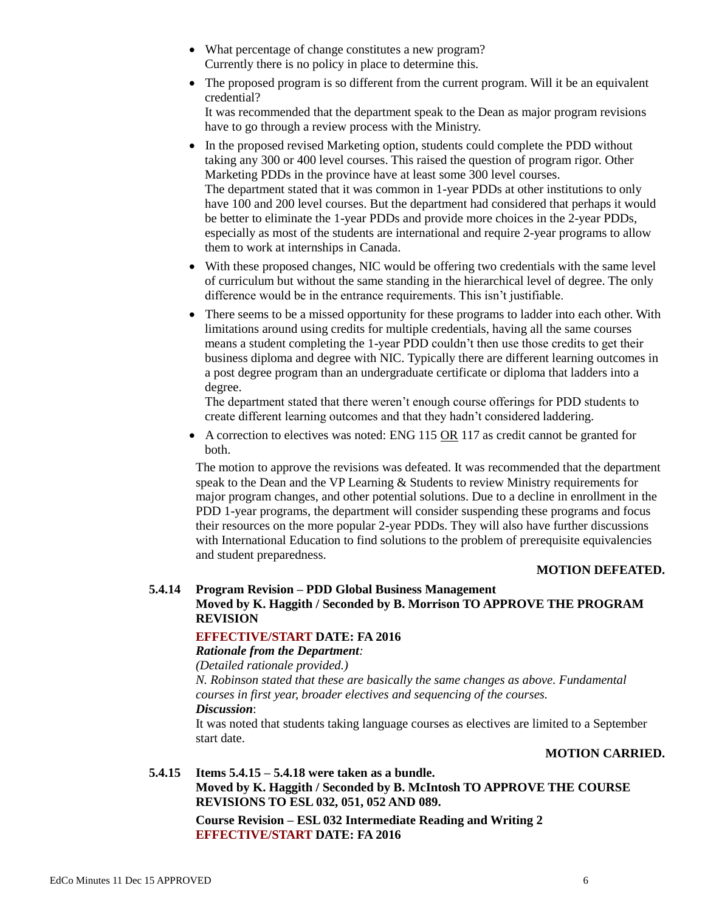- What percentage of change constitutes a new program? Currently there is no policy in place to determine this.
- The proposed program is so different from the current program. Will it be an equivalent credential?

It was recommended that the department speak to the Dean as major program revisions have to go through a review process with the Ministry.

- In the proposed revised Marketing option, students could complete the PDD without taking any 300 or 400 level courses. This raised the question of program rigor. Other Marketing PDDs in the province have at least some 300 level courses. The department stated that it was common in 1-year PDDs at other institutions to only have 100 and 200 level courses. But the department had considered that perhaps it would be better to eliminate the 1-year PDDs and provide more choices in the 2-year PDDs, especially as most of the students are international and require 2-year programs to allow them to work at internships in Canada.
- With these proposed changes, NIC would be offering two credentials with the same level of curriculum but without the same standing in the hierarchical level of degree. The only difference would be in the entrance requirements. This isn't justifiable.
- There seems to be a missed opportunity for these programs to ladder into each other. With limitations around using credits for multiple credentials, having all the same courses means a student completing the 1-year PDD couldn't then use those credits to get their business diploma and degree with NIC. Typically there are different learning outcomes in a post degree program than an undergraduate certificate or diploma that ladders into a degree.

The department stated that there weren't enough course offerings for PDD students to create different learning outcomes and that they hadn't considered laddering.

 $\bullet$  A correction to electives was noted: ENG 115 OR 117 as credit cannot be granted for both.

The motion to approve the revisions was defeated. It was recommended that the department speak to the Dean and the VP Learning & Students to review Ministry requirements for major program changes, and other potential solutions. Due to a decline in enrollment in the PDD 1-year programs, the department will consider suspending these programs and focus their resources on the more popular 2-year PDDs. They will also have further discussions with International Education to find solutions to the problem of prerequisite equivalencies and student preparedness.

# **MOTION DEFEATED.**

# **5.4.14 Program Revision – PDD Global Business Management Moved by K. Haggith / Seconded by B. Morrison TO APPROVE THE PROGRAM REVISION**

#### **EFFECTIVE/START DATE: FA 2016**

#### *Rationale from the Department:*

*(Detailed rationale provided.)*

*N. Robinson stated that these are basically the same changes as above. Fundamental courses in first year, broader electives and sequencing of the courses.*

# *Discussion*:

It was noted that students taking language courses as electives are limited to a September start date.

# **MOTION CARRIED.**

#### **5.4.15 Items 5.4.15 – 5.4.18 were taken as a bundle.**

**Moved by K. Haggith / Seconded by B. McIntosh TO APPROVE THE COURSE REVISIONS TO ESL 032, 051, 052 AND 089.**

**Course Revision – ESL 032 Intermediate Reading and Writing 2 EFFECTIVE/START DATE: FA 2016**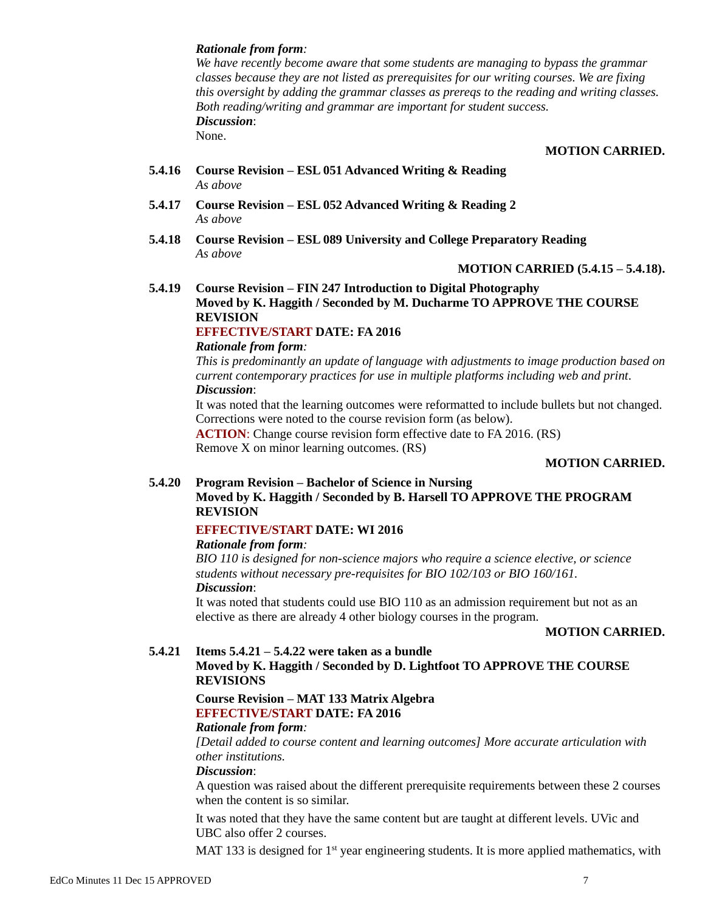#### *Rationale from form:*

*We have recently become aware that some students are managing to bypass the grammar classes because they are not listed as prerequisites for our writing courses. We are fixing this oversight by adding the grammar classes as prereqs to the reading and writing classes. Both reading/writing and grammar are important for student success. Discussion*:

None.

#### **MOTION CARRIED.**

- **5.4.16 Course Revision – ESL 051 Advanced Writing & Reading** *As above*
- **5.4.17 Course Revision – ESL 052 Advanced Writing & Reading 2** *As above*
- **5.4.18 Course Revision – ESL 089 University and College Preparatory Reading** *As above*

**MOTION CARRIED (5.4.15 – 5.4.18).**

**5.4.19 Course Revision – FIN 247 Introduction to Digital Photography Moved by K. Haggith / Seconded by M. Ducharme TO APPROVE THE COURSE REVISION**

# **EFFECTIVE/START DATE: FA 2016**

# *Rationale from form:*

*This is predominantly an update of language with adjustments to image production based on current contemporary practices for use in multiple platforms including web and print. Discussion*:

It was noted that the learning outcomes were reformatted to include bullets but not changed. Corrections were noted to the course revision form (as below). **ACTION**: Change course revision form effective date to FA 2016. (RS)

Remove X on minor learning outcomes. (RS)

## **MOTION CARRIED.**

# **5.4.20 Program Revision – Bachelor of Science in Nursing Moved by K. Haggith / Seconded by B. Harsell TO APPROVE THE PROGRAM REVISION**

#### **EFFECTIVE/START DATE: WI 2016**

## *Rationale from form:*

*BIO 110 is designed for non-science majors who require a science elective, or science students without necessary pre-requisites for BIO 102/103 or BIO 160/161. Discussion*:

It was noted that students could use BIO 110 as an admission requirement but not as an elective as there are already 4 other biology courses in the program.

#### **MOTION CARRIED.**

#### **5.4.21 Items 5.4.21 – 5.4.22 were taken as a bundle**

# **Moved by K. Haggith / Seconded by D. Lightfoot TO APPROVE THE COURSE REVISIONS**

# **Course Revision – MAT 133 Matrix Algebra EFFECTIVE/START DATE: FA 2016**

#### *Rationale from form:*

*[Detail added to course content and learning outcomes] More accurate articulation with other institutions.*

#### *Discussion*:

A question was raised about the different prerequisite requirements between these 2 courses when the content is so similar.

It was noted that they have the same content but are taught at different levels. UVic and UBC also offer 2 courses.

MAT 133 is designed for  $1<sup>st</sup>$  year engineering students. It is more applied mathematics, with